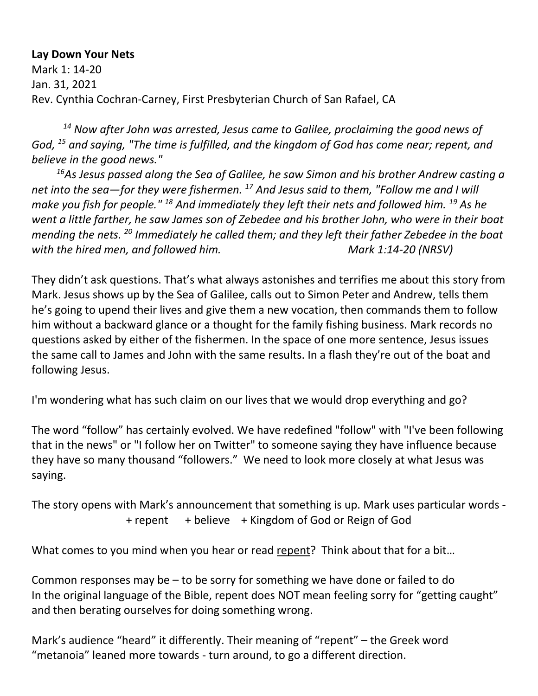## **Lay Down Your Nets**

Mark 1: 14-20 Jan. 31, 2021 Rev. Cynthia Cochran-Carney, First Presbyterian Church of San Rafael, CA

*<sup>14</sup> Now after John was arrested, Jesus came to Galilee, proclaiming the good news of God, <sup>15</sup> and saying, "The time is fulfilled, and the kingdom of God has come near; repent, and believe in the good news."*

*<sup>16</sup>As Jesus passed along the Sea of Galilee, he saw Simon and his brother Andrew casting a net into the sea—for they were fishermen. <sup>17</sup> And Jesus said to them, "Follow me and I will make you fish for people." <sup>18</sup> And immediately they left their nets and followed him. <sup>19</sup> As he went a little farther, he saw James son of Zebedee and his brother John, who were in their boat mending the nets. <sup>20</sup> Immediately he called them; and they left their father Zebedee in the boat with the hired men, and followed him. Mark 1:14-20 (NRSV)*

They didn't ask questions. That's what always astonishes and terrifies me about this story from Mark. Jesus shows up by the Sea of Galilee, calls out to Simon Peter and Andrew, tells them he's going to upend their lives and give them a new vocation, then commands them to follow him without a backward glance or a thought for the family fishing business. Mark records no questions asked by either of the fishermen. In the space of one more sentence, Jesus issues the same call to James and John with the same results. In a flash they're out of the boat and following Jesus.

I'm wondering what has such claim on our lives that we would drop everything and go?

The word "follow" has certainly evolved. We have redefined "follow" with "I've been following that in the news" or "I follow her on Twitter" to someone saying they have influence because they have so many thousand "followers." We need to look more closely at what Jesus was saying.

The story opens with Mark's announcement that something is up. Mark uses particular words - + repent + believe + Kingdom of God or Reign of God

What comes to you mind when you hear or read repent? Think about that for a bit...

Common responses may be – to be sorry for something we have done or failed to do In the original language of the Bible, repent does NOT mean feeling sorry for "getting caught" and then berating ourselves for doing something wrong.

Mark's audience "heard" it differently. Their meaning of "repent" – the Greek word "metanoia" leaned more towards - turn around, to go a different direction.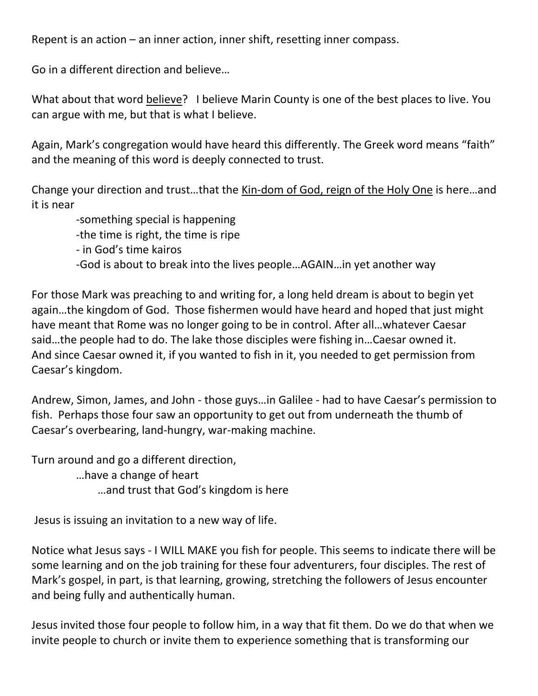Repent is an action – an inner action, inner shift, resetting inner compass.

Go in a different direction and believe…

What about that word believe? I believe Marin County is one of the best places to live. You can argue with me, but that is what I believe.

Again, Mark's congregation would have heard this differently. The Greek word means "faith" and the meaning of this word is deeply connected to trust.

Change your direction and trust…that the Kin-dom of God, reign of the Holy One is here…and it is near

 -something special is happening -the time is right, the time is ripe - in God's time kairos -God is about to break into the lives people…AGAIN…in yet another way

For those Mark was preaching to and writing for, a long held dream is about to begin yet again…the kingdom of God. Those fishermen would have heard and hoped that just might have meant that Rome was no longer going to be in control. After all…whatever Caesar said…the people had to do. The lake those disciples were fishing in…Caesar owned it. And since Caesar owned it, if you wanted to fish in it, you needed to get permission from Caesar's kingdom.

Andrew, Simon, James, and John - those guys…in Galilee - had to have Caesar's permission to fish. Perhaps those four saw an opportunity to get out from underneath the thumb of Caesar's overbearing, land-hungry, war-making machine.

Turn around and go a different direction,

…have a change of heart

…and trust that God's kingdom is here

Jesus is issuing an invitation to a new way of life.

Notice what Jesus says - I WILL MAKE you fish for people. This seems to indicate there will be some learning and on the job training for these four adventurers, four disciples. The rest of Mark's gospel, in part, is that learning, growing, stretching the followers of Jesus encounter and being fully and authentically human.

Jesus invited those four people to follow him, in a way that fit them. Do we do that when we invite people to church or invite them to experience something that is transforming our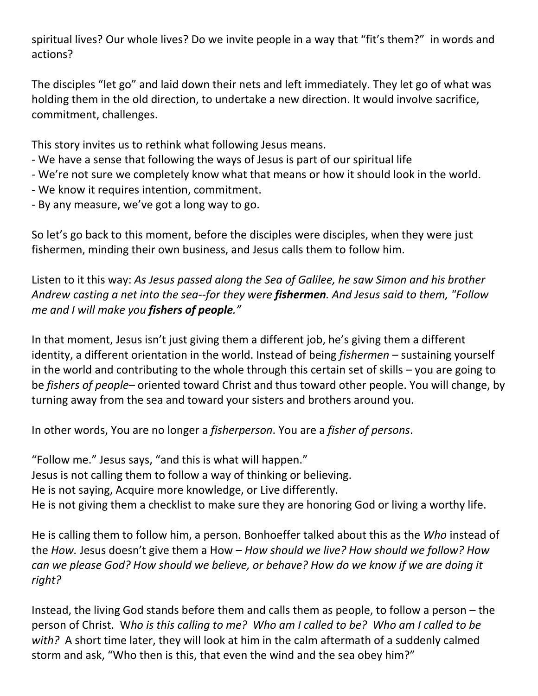spiritual lives? Our whole lives? Do we invite people in a way that "fit's them?" in words and actions?

The disciples "let go" and laid down their nets and left immediately. They let go of what was holding them in the old direction, to undertake a new direction. It would involve sacrifice, commitment, challenges.

This story invites us to rethink what following Jesus means.

- We have a sense that following the ways of Jesus is part of our spiritual life
- We're not sure we completely know what that means or how it should look in the world.
- We know it requires intention, commitment.
- By any measure, we've got a long way to go.

So let's go back to this moment, before the disciples were disciples, when they were just fishermen, minding their own business, and Jesus calls them to follow him.

Listen to it this way: *As Jesus passed along the Sea of Galilee, he saw Simon and his brother Andrew casting a net into the sea--for they were fishermen. And Jesus said to them, "Follow me and I will make you fishers of people."*

In that moment, Jesus isn't just giving them a different job, he's giving them a different identity, a different orientation in the world. Instead of being *fishermen* – sustaining yourself in the world and contributing to the whole through this certain set of skills – you are going to be *fishers of people*– oriented toward Christ and thus toward other people. You will change, by turning away from the sea and toward your sisters and brothers around you.

In other words, You are no longer a *fisherperson*. You are a *fisher of persons*.

"Follow me." Jesus says, "and this is what will happen." Jesus is not calling them to follow a way of thinking or believing. He is not saying, Acquire more knowledge, or Live differently. He is not giving them a checklist to make sure they are honoring God or living a worthy life.

He is calling them to follow him, a person. Bonhoeffer talked about this as the *Who* instead of the *How.* Jesus doesn't give them a How – *How should we live? How should we follow? How can we please God? How should we believe, or behave? How do we know if we are doing it right?*

Instead, the living God stands before them and calls them as people, to follow a person – the person of Christ. W*ho is this calling to me? Who am I called to be? Who am I called to be with?* A short time later, they will look at him in the calm aftermath of a suddenly calmed storm and ask, "Who then is this, that even the wind and the sea obey him?"